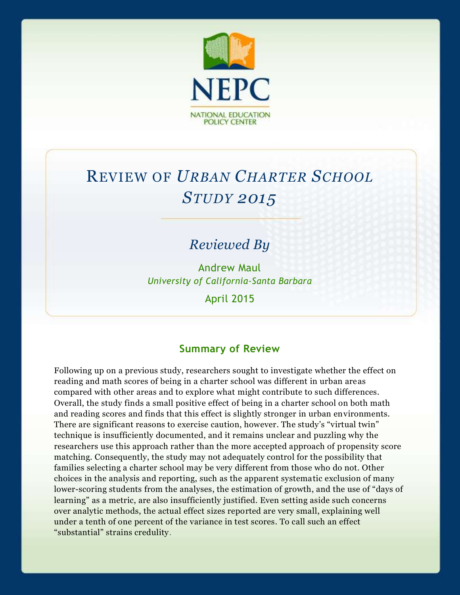

# REVIEW OF *URBAN CHARTER SCHOOL STUDY 2015*

# *Reviewed By*

Andrew Maul *University of California-Santa Barbara*

April 2015

## **Summary of Review**

Following up on a previous study, researchers sought to investigate whether the effect on reading and math scores of being in a charter school was different in urban areas compared with other areas and to explore what might contribute to such differences. Overall, the study finds a small positive effect of being in a charter school on both math and reading scores and finds that this effect is slightly stronger in urban environments. There are significant reasons to exercise caution, however. The study's "virtual twin" technique is insufficiently documented, and it remains unclear and puzzling why the researchers use this approach rather than the more accepted approach of propensity score matching. Consequently, the study may not adequately control for the possibility that families selecting a charter school may be very different from those who do not. Other choices in the analysis and reporting, such as the apparent systematic exclusion of many lower-scoring students from the analyses, the estimation of growth, and the use of "days of learning" as a metric, are also insufficiently justified. Even setting aside such concerns over analytic methods, the actual effect sizes reported are very small, explaining well under a tenth of one percent of the variance in test scores. To call such an effect "substantial" strains credulity.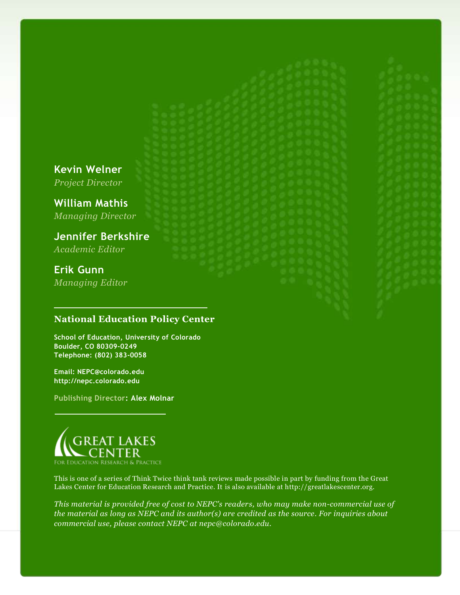**Kevin Welner** *Project Director*

**William Mathis** *Managing Director*

**Jennifer Berkshire** *Academic Editor*

**Erik Gunn** *Managing Editor*

#### **National Education Policy Center**

**School of Education, University of Colorado Boulder, CO 80309-0249 Telephone: (802) 383-0058**

**Email: NEPC@colorado.edu http://nepc.colorado.edu**

**Publishing Director: Alex Molnar**



This is one of a series of Think Twice think tank reviews made possible in part by funding from the Great Lakes Center for Education Research and Practice. It is also available at http://greatlakescenter.org.

*This material is provided free of cost to NEPC's readers, who may make non-commercial use of the material as long as NEPC and its author(s) are credited as the source. For inquiries about commercial use, please contact NEPC at nepc@colorado.edu.*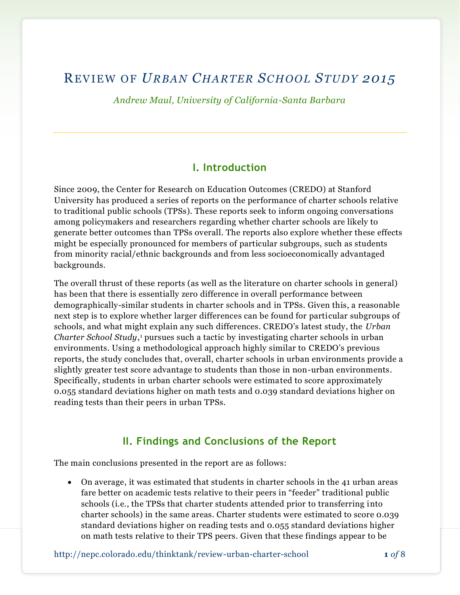## REVIEW O F *URBAN CHARTER SC HOOL STUDY 2015*

*Andrew Maul, University of California-Santa Barbara*

#### **I. Introduction**

Since 2009, the Center for Research on Education Outcomes (CREDO) at Stanford University has produced a series of reports on the performance of charter schools relative to traditional public schools (TPSs). These reports seek to inform ongoing conversations among policymakers and researchers regarding whether charter schools are likely to generate better outcomes than TPSs overall. The reports also explore whether these effects might be especially pronounced for members of particular subgroups, such as students from minority racial/ethnic backgrounds and from less socioeconomically advantaged backgrounds.

The overall thrust of these reports (as well as the literature on charter schools in general) has been that there is essentially zero difference in overall performance between demographically-similar students in charter schools and in TPSs. Given this, a reasonable next step is to explore whether larger differences can be found for particular subgroups of schools, and what might explain any such differences. CREDO's latest study, the *Urban Charter School Study*, <sup>1</sup> pursues such a tactic by investigating charter schools in urban environments. Using a methodological approach highly similar to CREDO's previous reports, the study concludes that, overall, charter schools in urban environments provide a slightly greater test score advantage to students than those in non-urban environments. Specifically, students in urban charter schools were estimated to score approximately 0.055 standard deviations higher on math tests and 0.039 standard deviations higher on reading tests than their peers in urban TPSs.

## **II. Findings and Conclusions of the Report**

The main conclusions presented in the report are as follows:

 On average, it was estimated that students in charter schools in the 41 urban areas fare better on academic tests relative to their peers in "feeder" traditional public schools (i.e., the TPSs that charter students attended prior to transferring into charter schools) in the same areas. Charter students were estimated to score 0.039 standard deviations higher on reading tests and 0.055 standard deviations higher on math tests relative to their TPS peers. Given that these findings appear to be

http://nepc.colorado.edu/thinktank/review-urban-charter-school **1** *of* 8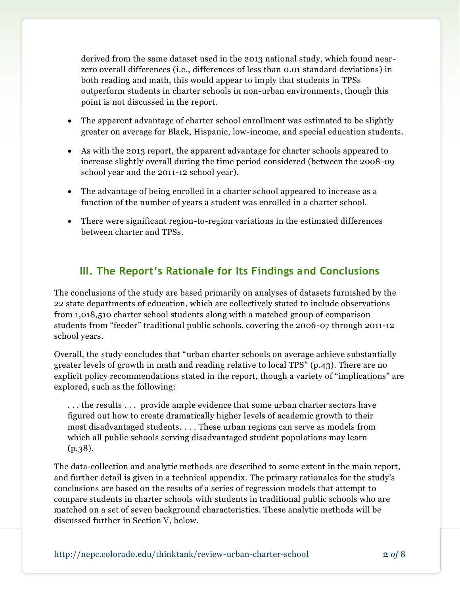derived from the same dataset used in the 2013 national study, which found near zero overall differences (i.e., differences of less than 0.01 standard deviations) in both reading and math, this would appear to imply that students in TPSs outperform students in charter schools in non-urban environments, though this point is not discussed in the report.

- The apparent advantage of charter school enrollment was estimated to be slightly greater on average for Black, Hispanic, low-income, and special education students.
- As with the 2013 report, the apparent advantage for charter schools appeared to increase slightly overall during the time period considered (between the 2008-09 school year and the 2011-12 school year).
- The advantage of being enrolled in a charter school appeared to increase as a function of the number of years a student was enrolled in a charter school.
- There were significant region-to-region variations in the estimated differences between charter and TPSs.

## **III. The Report's Rationale for Its Findings and Conclusions**

The conclusions of the study are based primarily on analyses of datasets furnished by the 22 state departments of education, which are collectively stated to include observations from 1,018,510 charter school students along with a matched group of comparison students from "feeder" traditional public schools, covering the 2006-07 through 2011-12 school years.

Overall, the study concludes that "urban charter schools on average achieve substantially greater levels of growth in math and reading relative to local TPS" (p.43). There are no explicit policy recommendations stated in the report, though a variety of "implications" are explored, such as the following:

. . . the results . . . provide ample evidence that some urban charter sectors have figured out how to create dramatically higher levels of academic growth to their most disadvantaged students. . . . These urban regions can serve as models from which all public schools serving disadvantaged student populations may learn (p.38).

The data-collection and analytic methods are described to some extent in the main report, and further detail is given in a technical appendix. The primary rationales for the study's conclusions are based on the results of a series of regression models that attempt to compare students in charter schools with students in traditional public schools who are matched on a set of seven background characteristics. These analytic methods will be discussed further in Section V, below.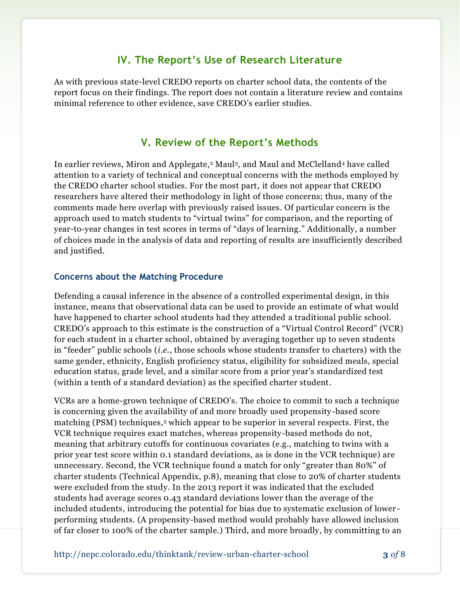#### **IV. The Report's Use of Research Literature**

As with previous state-level CREDO reports on charter school data, the contents of the report focus on their findings. The report does not contain a literature review and contains minimal reference to other evidence, save CREDO's earlier studies.

## **V. Review of the Report's Methods**

In earlier reviews, Miron and Applegate,<sup>2</sup> Maul<sup>3</sup>, and Maul and McClelland<sup>4</sup> have called attention to a variety of technical and conceptual concerns with the methods employed by the CREDO charter school studies. For the most part, it does not appear that CREDO researchers have altered their methodology in light of those concerns; thus, many of the comments made here overlap with previously raised issues. Of particular concern is the approach used to match students to "virtual twins" for comparison, and the reporting of year-to-year changes in test scores in terms of "days of learning." Additionally, a number of choices made in the analysis of data and reporting of results are insufficiently described and justified.

#### **Concerns about the Matching Procedure**

Defending a causal inference in the absence of a controlled experimental design, in this instance, means that observational data can be used to provide an estimate of what would have happened to charter school students had they attended a traditional public school. CREDO's approach to this estimate is the construction of a "Virtual Control Record" (VCR) for each student in a charter school, obtained by averaging together up to seven students in "feeder" public schools (*i.e.*, those schools whose students transfer to charters) with the same gender, ethnicity, English proficiency status, eligibility for subsidized meals, special education status, grade level, and a similar score from a prior year's standardized test (within a tenth of a standard deviation) as the specified charter student.

VCRs are a home-grown technique of CREDO's. The choice to commit to such a technique is concerning given the availability of and more broadly used propensity-based score matching (PSM) techniques,<sup>5</sup> which appear to be superior in several respects. First, the VCR technique requires exact matches, whereas propensity-based methods do not, meaning that arbitrary cutoffs for continuous covariates (e.g., matching to twins with a prior year test score within 0.1 standard deviations, as is done in the VCR technique) are unnecessary. Second, the VCR technique found a match for only "greater than 80%" of charter students (Technical Appendix, p.8), meaning that close to 20% of charter students were excluded from the study. In the 2013 report it was indicated that the excluded students had average scores 0.43 standard deviations lower than the average of the included students, introducing the potential for bias due to systematic exclusion of lower performing students. (A propensity-based method would probably have allowed inclusion of far closer to 100% of the charter sample.) Third, and more broadly, by committing to an

http://nepc.colorado.edu/thinktank/review-urban-charter-school **3** *of* 8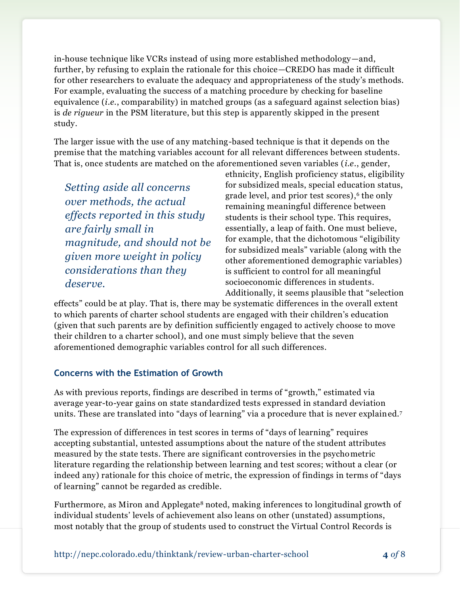in-house technique like VCRs instead of using more established methodology—and, further, by refusing to explain the rationale for this choice—CREDO has made it difficult for other researchers to evaluate the adequacy and appropriateness of the study's methods. For example, evaluating the success of a matching procedure by checking for baseline equivalence (*i.e.*, comparability) in matched groups (as a safeguard against selection bias) is *de rigueur* in the PSM literature, but this step is apparently skipped in the present study.

The larger issue with the use of any matching-based technique is that it depends on the premise that the matching variables account for all relevant differences between students. That is, once students are matched on the aforementioned seven variables (*i.e.*, gender,

*Setting aside all concerns over methods, the actual effects reported in this study are fairly small in magnitude, and should not be given more weight in policy considerations than they deserve.* 

ethnicity, English proficiency status, eligibility for subsidized meals, special education status, grade level, and prior test scores), 6 the only remaining meaningful difference between students is their school type. This requires, essentially, a leap of faith. One must believe, for example, that the dichotomous "eligibility for subsidized meals" variable (along with the other aforementioned demographic variables) is sufficient to control for all meaningful socioeconomic differences in students. Additionally, it seems plausible that "selection

effects" could be at play. That is, there may be systematic differences in the overall extent to which parents of charter school students are engaged with their children's education (given that such parents are by definition sufficiently engaged to actively choose to move their children to a charter school), and one must simply believe that the seven aforementioned demographic variables control for all such differences.

#### **Concerns with the Estimation of Growth**

As with previous reports, findings are described in terms of "growth," estimated via average year-to-year gains on state standardized tests expressed in standard deviation units. These are translated into "days of learning" via a procedure that is never explained.<sup>7</sup>

The expression of differences in test scores in terms of "days of learning" requires accepting substantial, untested assumptions about the nature of the student attributes measured by the state tests. There are significant controversies in the psychometric literature regarding the relationship between learning and test scores; without a clear (or indeed any) rationale for this choice of metric, the expression of findings in terms of "days of learning" cannot be regarded as credible.

Furthermore, as Miron and Applegate<sup>8</sup> noted, making inferences to longitudinal growth of individual students' levels of achievement also leans on other (unstated) assumptions, most notably that the group of students used to construct the Virtual Control Records is

http://nepc.colorado.edu/thinktank/review-urban-charter-school **4** *of* 8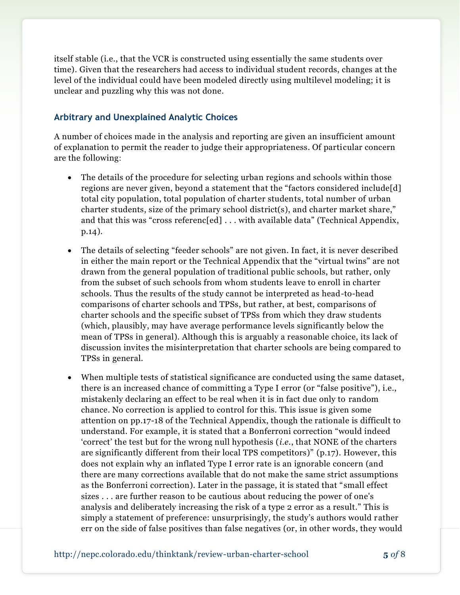itself stable (i.e., that the VCR is constructed using essentially the same students over time). Given that the researchers had access to individual student records, changes at the level of the individual could have been modeled directly using multilevel modeling; it is unclear and puzzling why this was not done.

#### **Arbitrary and Unexplained Analytic Choices**

A number of choices made in the analysis and reporting are given an insufficient amount of explanation to permit the reader to judge their appropriateness. Of particular concern are the following:

- The details of the procedure for selecting urban regions and schools within those regions are never given, beyond a statement that the "factors considered include[d] total city population, total population of charter students, total number of urban charter students, size of the primary school district(s), and charter market share," and that this was "cross referenc[ed] . . . with available data" (Technical Appendix, p.14).
- The details of selecting "feeder schools" are not given. In fact, it is never described in either the main report or the Technical Appendix that the "virtual twins" are not drawn from the general population of traditional public schools, but rather, only from the subset of such schools from whom students leave to enroll in charter schools. Thus the results of the study cannot be interpreted as head-to-head comparisons of charter schools and TPSs, but rather, at best, comparisons of charter schools and the specific subset of TPSs from which they draw students (which, plausibly, may have average performance levels significantly below the mean of TPSs in general). Although this is arguably a reasonable choice, its lack of discussion invites the misinterpretation that charter schools are being compared to TPSs in general.
- When multiple tests of statistical significance are conducted using the same dataset, there is an increased chance of committing a Type I error (or "false positive"), i.e., mistakenly declaring an effect to be real when it is in fact due only to random chance. No correction is applied to control for this. This issue is given some attention on pp.17-18 of the Technical Appendix, though the rationale is difficult to understand. For example, it is stated that a Bonferroni correction "would indeed 'correct' the test but for the wrong null hypothesis (*i.e.*, that NONE of the charters are significantly different from their local TPS competitors)" (p.17). However, this does not explain why an inflated Type I error rate is an ignorable concern (and there are many corrections available that do not make the same strict assumptions as the Bonferroni correction). Later in the passage, it is stated that "small effect sizes . . . are further reason to be cautious about reducing the power of one's analysis and deliberately increasing the risk of a type 2 error as a result." This is simply a statement of preference: unsurprisingly, the study's authors would rather err on the side of false positives than false negatives (or, in other words, they would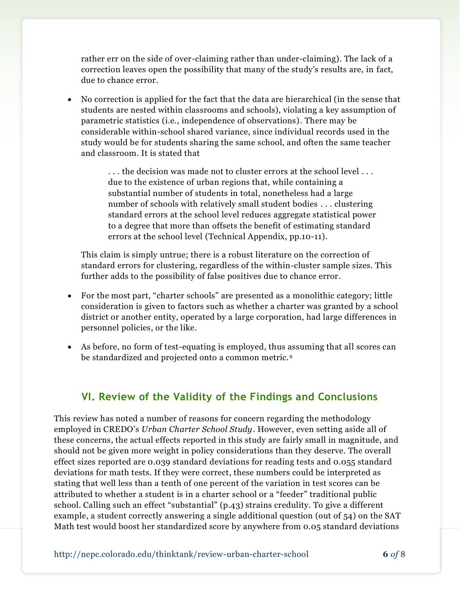rather err on the side of over-claiming rather than under-claiming). The lack of a correction leaves open the possibility that many of the study's results are, in fact, due to chance error.

 No correction is applied for the fact that the data are hierarchical (in the sense that students are nested within classrooms and schools), violating a key assumption of parametric statistics (i.e., independence of observations). There may be considerable within-school shared variance, since individual records used in the study would be for students sharing the same school, and often the same teacher and classroom. It is stated that

> ... the decision was made not to cluster errors at the school level... due to the existence of urban regions that, while containing a substantial number of students in total, nonetheless had a large number of schools with relatively small student bodies . . . clustering standard errors at the school level reduces aggregate statistical power to a degree that more than offsets the benefit of estimating standard errors at the school level (Technical Appendix, pp.10-11).

This claim is simply untrue; there is a robust literature on the correction of standard errors for clustering, regardless of the within-cluster sample sizes. This further adds to the possibility of false positives due to chance error.

- For the most part, "charter schools" are presented as a monolithic category; little consideration is given to factors such as whether a charter was granted by a school district or another entity, operated by a large corporation, had large differences in personnel policies, or the like.
- As before, no form of test-equating is employed, thus assuming that all scores can be standardized and projected onto a common metric.<sup>9</sup>

## **VI. Review of the Validity of the Findings and Conclusions**

This review has noted a number of reasons for concern regarding the methodology employed in CREDO's *Urban Charter School Study*. However, even setting aside all of these concerns, the actual effects reported in this study are fairly small in magnitude, and should not be given more weight in policy considerations than they deserve. The overall effect sizes reported are 0.039 standard deviations for reading tests and 0.055 standard deviations for math tests. If they were correct, these numbers could be interpreted as stating that well less than a tenth of one percent of the variation in test scores can be attributed to whether a student is in a charter school or a "feeder" traditional public school. Calling such an effect "substantial" (p.43) strains credulity. To give a different example, a student correctly answering a single additional question (out of 54) on the SAT Math test would boost her standardized score by anywhere from 0.05 standard deviations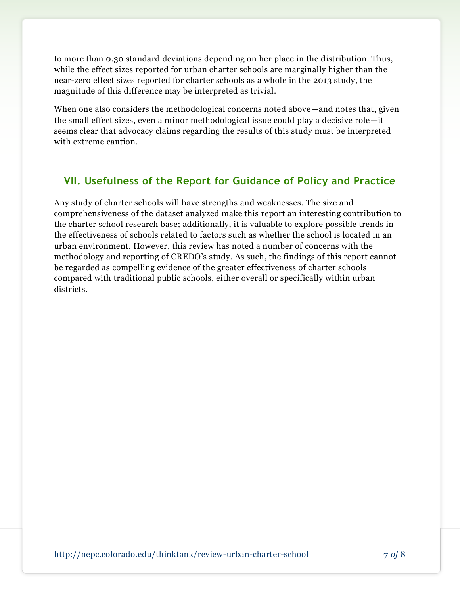to more than 0.30 standard deviations depending on her place in the distribution. Thus, while the effect sizes reported for urban charter schools are marginally higher than the near-zero effect sizes reported for charter schools as a whole in the 2013 study, the magnitude of this difference may be interpreted as trivial.

When one also considers the methodological concerns noted above—and notes that, given the small effect sizes, even a minor methodological issue could play a decisive role—it seems clear that advocacy claims regarding the results of this study must be interpreted with extreme caution.

## **VII. Usefulness of the Report for Guidance of Policy and Practice**

Any study of charter schools will have strengths and weaknesses. The size and comprehensiveness of the dataset analyzed make this report an interesting contribution to the charter school research base; additionally, it is valuable to explore possible trends in the effectiveness of schools related to factors such as whether the school is located in an urban environment. However, this review has noted a number of concerns with the methodology and reporting of CREDO's study. As such, the findings of this report cannot be regarded as compelling evidence of the greater effectiveness of charter schools compared with traditional public schools, either overall or specifically within urban districts.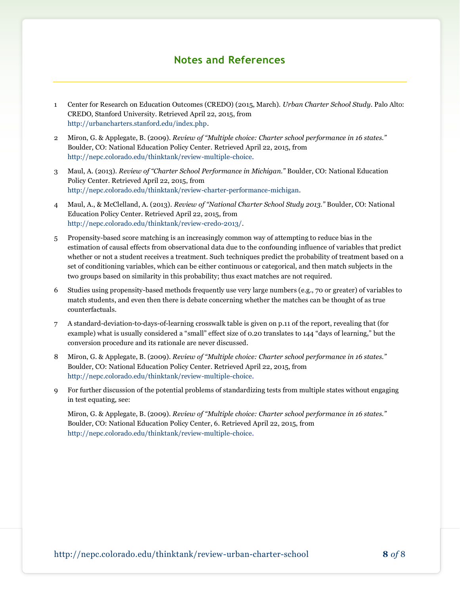#### **Notes and References**

- 1 Center for Research on Education Outcomes (CREDO) (2015, March). *Urban Charter School Study*. Palo Alto: CREDO, Stanford University. Retrieved April 22, 2015, from [http://urbancharters.stanford.edu/index.php.](http://urbancharters.stanford.edu/index.php)
- 2 Miron, G. & Applegate, B. (2009). *Review of "Multiple choice: Charter school performance in 16 states."*  Boulder, CO: National Education Policy Center. Retrieved April 22, 2015, from [http://nepc.colorado.edu/thinktank/review-multiple-choice.](http://nepc.colorado.edu/thinktank/review-multiple-choice)
- 3 Maul, A. (2013). *Review of "Charter School Performance in Michigan."* Boulder, CO: National Education Policy Center. Retrieved April 22, 2015, from [http://nepc.colorado.edu/thinktank/review-charter-performance-michigan.](http://nepc.colorado.edu/thinktank/review-charter-performance-michigan)
- 4 Maul, A., & McClelland, A. (2013). *Review of "National Charter School Study 2013."* Boulder, CO: National Education Policy Center. Retrieved April 22, 2015, from [http://nepc.colorado.edu/thinktank/review-credo-2013/.](http://nepc.colorado.edu/thinktank/review-credo-2013/)
- 5 Propensity-based score matching is an increasingly common way of attempting to reduce bias in the estimation of causal effects from observational data due to the confounding influence of variables that predict whether or not a student receives a treatment. Such techniques predict the probability of treatment based on a set of conditioning variables, which can be either continuous or categorical, and then match subjects in the two groups based on similarity in this probability; thus exact matches are not required.
- 6 Studies using propensity-based methods frequently use very large numbers (e.g., 70 or greater) of variables to match students, and even then there is debate concerning whether the matches can be thought of as true counterfactuals.
- 7 A standard-deviation-to-days-of-learning crosswalk table is given on p.11 of the report, revealing that (for example) what is usually considered a "small" effect size of 0.20 translates to 144 "days of learning," but the conversion procedure and its rationale are never discussed.
- 8 Miron, G. & Applegate, B. (2009). *Review of "Multiple choice: Charter school performance in 16 states."*  Boulder, CO: National Education Policy Center. Retrieved April 22, 2015, from [http://nepc.colorado.edu/thinktank/review-multiple-choice.](http://nepc.colorado.edu/thinktank/review-multiple-choice)
- 9 For further discussion of the potential problems of standardizing tests from multiple states without engaging in test equating, see:

Miron, G. & Applegate, B. (2009). *Review of "Multiple choice: Charter school performance in 16 states."*  Boulder, CO: National Education Policy Center, 6. Retrieved April 22, 2015, from [http://nepc.colorado.edu/thinktank/review-multiple-choice.](http://nepc.colorado.edu/thinktank/review-multiple-choice)